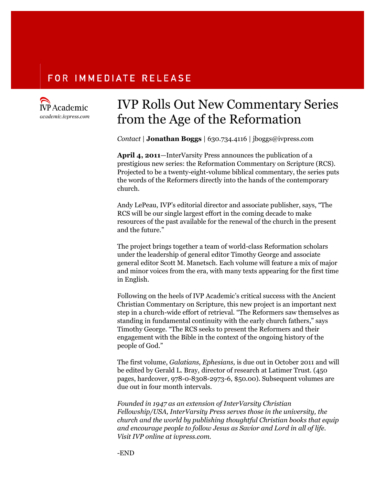### **FOR IMMEDIATE RELEASE**



## IVP Rolls Out New Commentary Series from the Age of the Reformation

*Contact* | **Jonathan Boggs** | 630.734.4116 | jboggs@ivpress.com

**April 4, 2011**—InterVarsity Press announces the publication of a prestigious new series: the Reformation Commentary on Scripture (RCS)*.* Projected to be a twenty-eight-volume biblical commentary, the series puts the words of the Reformers directly into the hands of the contemporary church.

Andy LePeau, IVP's editorial director and associate publisher, says, "The RCS will be our single largest effort in the coming decade to make resources of the past available for the renewal of the church in the present and the future."

The project brings together a team of world-class Reformation scholars under the leadership of general editor Timothy George and associate general editor Scott M. Manetsch. Each volume will feature a mix of major and minor voices from the era, with many texts appearing for the first time in English.

Following on the heels of IVP Academic's critical success with the Ancient Christian Commentary on Scripture, this new project is an important next step in a church-wide effort of retrieval. "The Reformers saw themselves as standing in fundamental continuity with the early church fathers," says Timothy George. "The RCS seeks to present the Reformers and their engagement with the Bible in the context of the ongoing history of the people of God."

The first volume, *Galatians, Ephesians,* is due out in October 2011 and will be edited by Gerald L. Bray, director of research at Latimer Trust. (450 pages, hardcover, 978-0-8308-2973-6, \$50.00). Subsequent volumes are due out in four month intervals.

*Founded in 1947 as an extension of InterVarsity Christian Fellowship/USA, InterVarsity Press serves those in the university, the church and the world by publishing thoughtful Christian books that equip and encourage people to follow Jesus as Savior and Lord in all of life. Visit IVP online at ivpress.com.*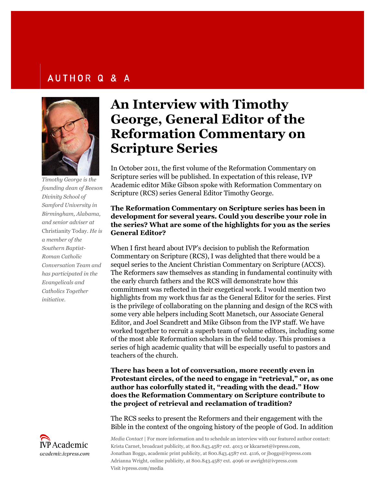### **AUTHOR Q & A**



*Timothy George is the founding dean of Beeson Divinity School of Samford University in Birmingham, Alabama, and senior adviser at* Christianity Today. *He is a member of the Southern Baptist-Roman Catholic Conversation Team and has participated in the Evangelicals and Catholics Together initiative.*



# **An Interview with Timothy George, General Editor of the Reformation Commentary on Scripture Series**

In October 2011, the first volume of the Reformation Commentary on Scripture series will be published. In expectation of this release, IVP Academic editor Mike Gibson spoke with Reformation Commentary on Scripture (RCS) series General Editor Timothy George.

### **The Reformation Commentary on Scripture series has been in development for several years. Could you describe your role in the series? What are some of the highlights for you as the series General Editor?**

When I first heard about IVP's decision to publish the Reformation Commentary on Scripture (RCS), I was delighted that there would be a sequel series to the Ancient Christian Commentary on Scripture (ACCS). The Reformers saw themselves as standing in fundamental continuity with the early church fathers and the RCS will demonstrate how this commitment was reflected in their exegetical work. I would mention two highlights from my work thus far as the General Editor for the series. First is the privilege of collaborating on the planning and design of the RCS with some very able helpers including Scott Manetsch, our Associate General Editor, and Joel Scandrett and Mike Gibson from the IVP staff. We have worked together to recruit a superb team of volume editors, including some of the most able Reformation scholars in the field today. This promises a series of high academic quality that will be especially useful to pastors and teachers of the church.

**There has been a lot of conversation, more recently even in Protestant circles, of the need to engage in "retrieval," or, as one author has colorfully stated it, "reading with the dead." How does the Reformation Commentary on Scripture contribute to the project of retrieval and reclamation of tradition?**

The RCS seeks to present the Reformers and their engagement with the Bible in the context of the ongoing history of the people of God. In addition

*Media Contact* | For more information and to schedule an interview with our featured author contact: Krista Carnet, broadcast publicity, at 800.843.4587 ext. 4013 or kkcarnet@ivpress.com, Jonathan Boggs, academic print publicity, at 800.843.4587 ext. 4116, or jboggs@ivpress.com Adrianna Wright, online publicity, at 800.843.4587 ext. 4096 or awright@ivpress.com Visit ivpress.com/media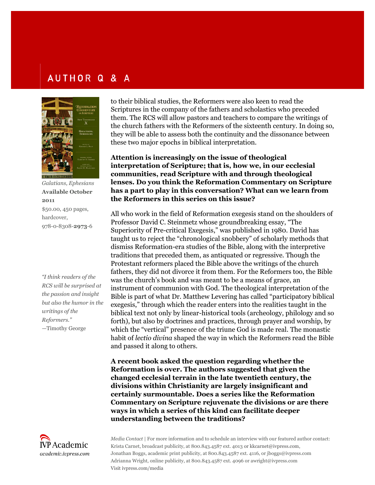## AUTHOR Q & A



*Galatians, Ephesians* **Available October 2011** \$50.00, 450 pages, hardcover, 978-0-8308-**2973**-6

*"I think readers of the RCS will be surprised at the passion and insight but also the humor in the writings of the Reformers."* —Timothy George



to their biblical studies, the Reformers were also keen to read the Scriptures in the company of the fathers and scholastics who preceded them. The RCS will allow pastors and teachers to compare the writings of the church fathers with the Reformers of the sixteenth century. In doing so, they will be able to assess both the continuity and the dissonance between these two major epochs in biblical interpretation.

**Attention is increasingly on the issue of theological interpretation of Scripture; that is, how we, in our ecclesial communities, read Scripture with and through theological lenses. Do you think the Reformation Commentary on Scripture has a part to play in this conversation? What can we learn from the Reformers in this series on this issue?**

All who work in the field of Reformation exegesis stand on the shoulders of Professor David C. Steinmetz whose groundbreaking essay, "The Superiority of Pre-critical Exegesis," was published in 1980. David has taught us to reject the "chronological snobbery" of scholarly methods that dismiss Reformation-era studies of the Bible, along with the interpretive traditions that preceded them, as antiquated or regressive. Though the Protestant reformers placed the Bible above the writings of the church fathers, they did not divorce it from them. For the Reformers too, the Bible was the church's book and was meant to be a means of grace, an instrument of communion with God. The theological interpretation of the Bible is part of what Dr. Matthew Levering has called "participatory biblical exegesis," through which the reader enters into the realities taught in the biblical text not only by linear-historical tools (archeology, philology and so forth), but also by doctrines and practices, through prayer and worship, by which the "vertical" presence of the triune God is made real. The monastic habit of *lectio divina* shaped the way in which the Reformers read the Bible and passed it along to others.

**A recent book asked the question regarding whether the Reformation is over. The authors suggested that given the changed ecclesial terrain in the late twentieth century, the divisions within Christianity are largely insignificant and certainly surmountable. Does a series like the Reformation Commentary on Scripture rejuvenate the divisions or are there ways in which a series of this kind can facilitate deeper understanding between the traditions?**

*Media Contact* | For more information and to schedule an interview with our featured author contact: Krista Carnet, broadcast publicity, at 800.843.4587 ext. 4013 or kkcarnet@ivpress.com, Jonathan Boggs, academic print publicity, at 800.843.4587 ext. 4116, or jboggs@ivpress.com Adrianna Wright, online publicity, at 800.843.4587 ext. 4096 or awright@ivpress.com Visit ivpress.com/media